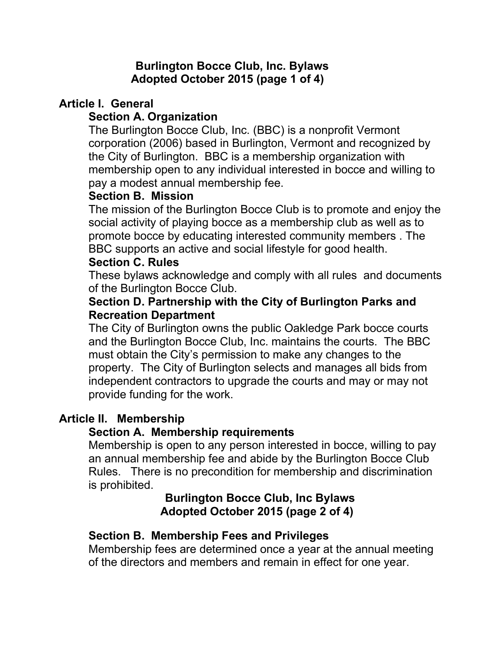### **Burlington Bocce Club, Inc. Bylaws Adopted October 2015 (page 1 of 4)**

# **Article I. General**

# **Section A. Organization**

The Burlington Bocce Club, Inc. (BBC) is a nonprofit Vermont corporation (2006) based in Burlington, Vermont and recognized by the City of Burlington. BBC is a membership organization with membership open to any individual interested in bocce and willing to pay a modest annual membership fee.

# **Section B. Mission**

The mission of the Burlington Bocce Club is to promote and enjoy the social activity of playing bocce as a membership club as well as to promote bocce by educating interested community members . The BBC supports an active and social lifestyle for good health.

### **Section C. Rules**

These bylaws acknowledge and comply with all rules and documents of the Burlington Bocce Club.

#### **Section D. Partnership with the City of Burlington Parks and Recreation Department**

The City of Burlington owns the public Oakledge Park bocce courts and the Burlington Bocce Club, Inc. maintains the courts. The BBC must obtain the City's permission to make any changes to the property. The City of Burlington selects and manages all bids from independent contractors to upgrade the courts and may or may not provide funding for the work.

# **Article II. Membership**

#### **Section A. Membership requirements**

Membership is open to any person interested in bocce, willing to pay an annual membership fee and abide by the Burlington Bocce Club Rules. There is no precondition for membership and discrimination is prohibited.

### **Burlington Bocce Club, Inc Bylaws Adopted October 2015 (page 2 of 4)**

# **Section B. Membership Fees and Privileges**

Membership fees are determined once a year at the annual meeting of the directors and members and remain in effect for one year.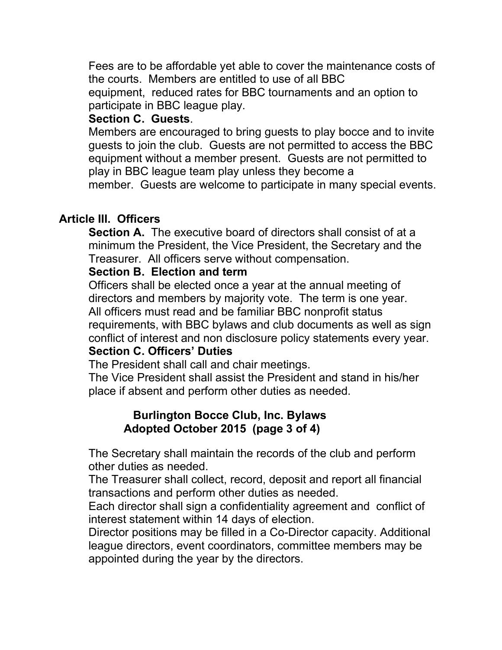Fees are to be affordable yet able to cover the maintenance costs of the courts. Members are entitled to use of all BBC equipment, reduced rates for BBC tournaments and an option to participate in BBC league play.

### **Section C. Guests**.

Members are encouraged to bring guests to play bocce and to invite guests to join the club. Guests are not permitted to access the BBC equipment without a member present. Guests are not permitted to play in BBC league team play unless they become a member. Guests are welcome to participate in many special events.

# **Article III. Officers**

**Section A.** The executive board of directors shall consist of at a minimum the President, the Vice President, the Secretary and the Treasurer. All officers serve without compensation.

### **Section B. Election and term**

Officers shall be elected once a year at the annual meeting of directors and members by majority vote. The term is one year. All officers must read and be familiar BBC nonprofit status requirements, with BBC bylaws and club documents as well as sign conflict of interest and non disclosure policy statements every year.

# **Section C. Officers' Duties**

The President shall call and chair meetings.

The Vice President shall assist the President and stand in his/her place if absent and perform other duties as needed.

#### **Burlington Bocce Club, Inc. Bylaws Adopted October 2015 (page 3 of 4)**

The Secretary shall maintain the records of the club and perform other duties as needed.

The Treasurer shall collect, record, deposit and report all financial transactions and perform other duties as needed.

Each director shall sign a confidentiality agreement and conflict of interest statement within 14 days of election.

Director positions may be filled in a Co-Director capacity. Additional league directors, event coordinators, committee members may be appointed during the year by the directors.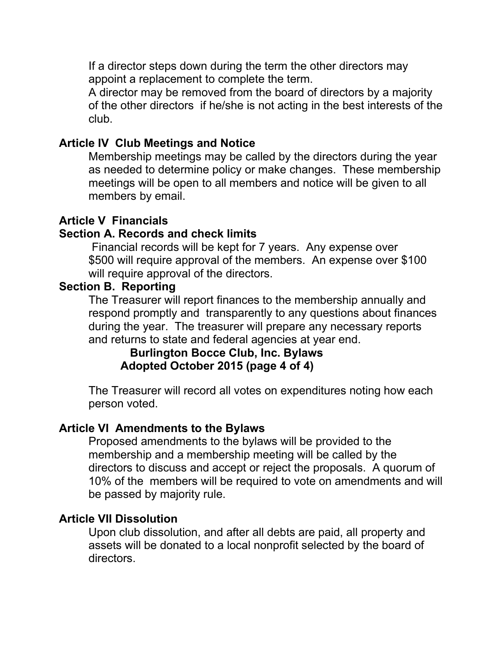If a director steps down during the term the other directors may appoint a replacement to complete the term.

A director may be removed from the board of directors by a majority of the other directors if he/she is not acting in the best interests of the club.

### **Article IV Club Meetings and Notice**

Membership meetings may be called by the directors during the year as needed to determine policy or make changes. These membership meetings will be open to all members and notice will be given to all members by email.

### **Article V Financials**

# **Section A. Records and check limits**

Financial records will be kept for 7 years. Any expense over \$500 will require approval of the members. An expense over \$100 will require approval of the directors.

### **Section B. Reporting**

The Treasurer will report finances to the membership annually and respond promptly and transparently to any questions about finances during the year. The treasurer will prepare any necessary reports and returns to state and federal agencies at year end.

#### **Burlington Bocce Club, Inc. Bylaws Adopted October 2015 (page 4 of 4)**

The Treasurer will record all votes on expenditures noting how each person voted.

#### **Article VI Amendments to the Bylaws**

Proposed amendments to the bylaws will be provided to the membership and a membership meeting will be called by the directors to discuss and accept or reject the proposals. A quorum of 10% of the members will be required to vote on amendments and will be passed by majority rule.

#### **Article VII Dissolution**

Upon club dissolution, and after all debts are paid, all property and assets will be donated to a local nonprofit selected by the board of directors.